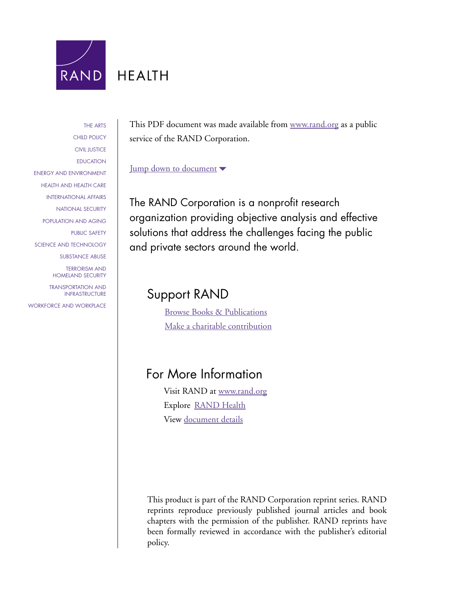

# **HEALTH**

[THE ARTS](http://www.rand.org/pdfrd/research_areas/arts/) [CHILD POLICY](http://www.rand.org/pdfrd/research_areas/children/) [CIVIL JUSTICE](http://www.rand.org/pdfrd/research_areas/civil_justice/) [EDUCATION](http://www.rand.org/pdfrd/research_areas/education/) [ENERGY AND ENVIRONMENT](http://www.rand.org/pdfrd/research_areas/energy_environment/) [HEALTH AND HEALTH CARE](http://www.rand.org/pdfrd/research_areas/health/) [INTERNATIONAL AFFAIRS](http://www.rand.org/pdfrd/research_areas/international_affairs/) [NATIONAL SECURITY](http://www.rand.org/pdfrd/research_areas/national_security/) [POPULATION AND AGING](http://www.rand.org/pdfrd/research_areas/population/) [PUBLIC SAFETY](http://www.rand.org/pdfrd/research_areas/public_safety/) [SCIENCE AND TECHNOLOGY](http://www.rand.org/pdfrd/research_areas/science_technology/) [SUBSTANCE ABUSE](http://www.rand.org/pdfrd/research_areas/substance_abuse/) [TERRORISM AND](http://www.rand.org/pdfrd/research_areas/terrorism/)  [HOMELAND SECURITY](http://www.rand.org/pdfrd/research_areas/terrorism/) [TRANSPORTATION AND](http://www.rand.org/pdfrd/research_areas/infrastructure/) [INFRASTRUCTURE](http://www.rand.org/pdfrd/research_areas/infrastructure/) [WORKFORCE AND](http://www.rand.org/pdfrd/research_areas/workforce/) WORKPLACE

This PDF document was made available from [www.rand.org](http://www.rand.org/pdfrd/) as a public service of the RAND Corporation.

### [Jump down to document](#page-1-0)

The RAND Corporation is a nonprofit research organization providing objective analysis and effective solutions that address the challenges facing the public and private sectors around the world.

## Support RAND

[Browse Books & Publications](http://www.rand.org/pdfrd/publications/electronic/) [Make a charitable contribution](http://www.rand.org/pdfrd/giving/contribute.html)

## For More Information

Visit RAND at [www.rand.org](http://www.rand.org/pdfrd/) Explore [RAND Health](http://www.rand.org/pdfrd/health/) View [document details](http://www.rand.org/pdfrd/pubs/reprints/RP1191/)

This product is part of the RAND Corporation reprint series. RAND reprints reproduce previously published journal articles and book chapters with the permission of the publisher. RAND reprints have been formally reviewed in accordance with the publisher's editorial policy.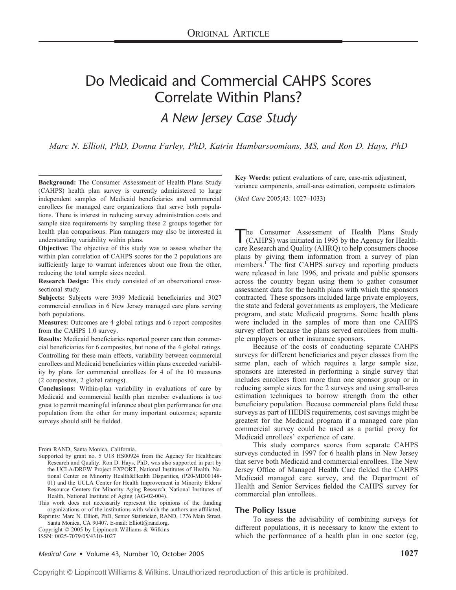# <span id="page-1-0"></span>Do Medicaid and Commercial CAHPS Scores Correlate Within Plans?

*A New Jersey Case Study*

*Marc N. Elliott, PhD, Donna Farley, PhD, Katrin Hambarsoomians, MS, and Ron D. Hays, PhD*

**Background:** The Consumer Assessment of Health Plans Study (CAHPS) health plan survey is currently administered to large independent samples of Medicaid beneficiaries and commercial enrollees for managed care organizations that serve both populations. There is interest in reducing survey administration costs and sample size requirements by sampling these 2 groups together for health plan comparisons. Plan managers may also be interested in understanding variability within plans.

**Objective:** The objective of this study was to assess whether the within plan correlation of CAHPS scores for the 2 populations are sufficiently large to warrant inferences about one from the other, reducing the total sample sizes needed.

**Research Design:** This study consisted of an observational crosssectional study.

**Subjects:** Subjects were 3939 Medicaid beneficiaries and 3027 commercial enrollees in 6 New Jersey managed care plans serving both populations.

**Measures:** Outcomes are 4 global ratings and 6 report composites from the CAHPS 1.0 survey.

**Results:** Medicaid beneficiaries reported poorer care than commercial beneficiaries for 6 composites, but none of the 4 global ratings. Controlling for these main effects, variability between commercial enrollees and Medicaid beneficiaries within plans exceeded variability by plans for commercial enrollees for 4 of the 10 measures (2 composites, 2 global ratings).

**Conclusions:** Within-plan variability in evaluations of care by Medicaid and commercial health plan member evaluations is too great to permit meaningful inference about plan performance for one population from the other for many important outcomes; separate surveys should still be fielded.

This work does not necessarily represent the opinions of the funding organizations or of the institutions with which the authors are affiliated. Reprints: Marc N. Elliott, PhD, Senior Statistician, RAND, 1776 Main Street,

Santa Monica, CA 90407. E-mail: Elliott@rand.org.

Copyright  $\odot$  2005 by Lippincott Williams & Wilkins ISSN: 0025-7079/05/4310-1027

**Key Words:** patient evaluations of care, case-mix adjustment, variance components, small-area estimation, composite estimators

(*Med Care* 2005;43: 1027–1033)

The Consumer Assessment of Health Plans Study<br>
(CAHPS) was initiated in 1995 by the Agency for Healthcare Research and Quality (AHRQ) to help consumers choose plans by giving them information from a survey of plan members.<sup>1</sup> The first CAHPS survey and reporting products were released in late 1996, and private and public sponsors across the country began using them to gather consumer assessment data for the health plans with which the sponsors contracted. These sponsors included large private employers, the state and federal governments as employers, the Medicare program, and state Medicaid programs. Some health plans were included in the samples of more than one CAHPS survey effort because the plans served enrollees from multiple employers or other insurance sponsors.

Because of the costs of conducting separate CAHPS surveys for different beneficiaries and payer classes from the same plan, each of which requires a large sample size, sponsors are interested in performing a single survey that includes enrollees from more than one sponsor group or in reducing sample sizes for the 2 surveys and using small-area estimation techniques to borrow strength from the other beneficiary population. Because commercial plans field these surveys as part of HEDIS requirements, cost savings might be greatest for the Medicaid program if a managed care plan commercial survey could be used as a partial proxy for Medicaid enrollees' experience of care.

This study compares scores from separate CAHPS surveys conducted in 1997 for 6 health plans in New Jersey that serve both Medicaid and commercial enrollees. The New Jersey Office of Managed Health Care fielded the CAHPS Medicaid managed care survey, and the Department of Health and Senior Services fielded the CAHPS survey for commercial plan enrollees.

#### **The Policy Issue**

To assess the advisability of combining surveys for different populations, it is necessary to know the extent to which the performance of a health plan in one sector (eg,

From RAND, Santa Monica, California.

Supported by grant no. 5 U18 HS00924 from the Agency for Healthcare Research and Quality. Ron D. Hays, PhD, was also supported in part by the UCLA/DREW Project EXPORT, National Institutes of Health, National Center on Minority Health&Health Disparities, (P20-MD00148- 01) and the UCLA Center for Health Improvement in Minority Elders/ Resource Centers for Minority Aging Research, National Institutes of Health, National Institute of Aging (AG-02-004).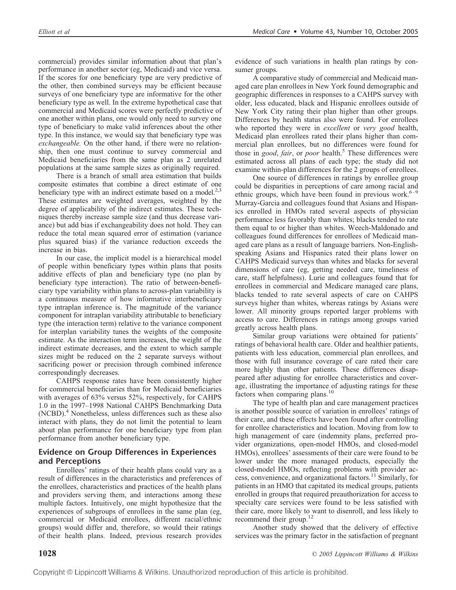commercial) provides similar information about that plan's performance in another sector (eg, Medicaid) and vice versa. If the scores for one beneficiary type are very predictive of the other, then combined surveys may be efficient because surveys of one beneficiary type are informative for the other beneficiary type as well. In the extreme hypothetical case that commercial and Medicaid scores were perfectly predictive of one another within plans, one would only need to survey one type of beneficiary to make valid inferences about the other type. In this instance, we would say that beneficiary type was *exchangeable.* On the other hand, if there were no relationship, then one must continue to survey commercial and Medicaid beneficiaries from the same plan as 2 unrelated populations at the same sample sizes as originally required.

There is a branch of small area estimation that builds composite estimates that combine a direct estimate of one beneficiary type with an indirect estimate based on a model. $2,3$ These estimates are weighted averages, weighted by the degree of applicability of the indirect estimates. These techniques thereby increase sample size (and thus decrease variance) but add bias if exchangeability does not hold. They can reduce the total mean squared error of estimation (variance plus squared bias) if the variance reduction exceeds the increase in bias.

In our case, the implicit model is a hierarchical model of people within beneficiary types within plans that posits additive effects of plan and beneficiary type (no plan by beneficiary type interaction). The ratio of between-beneficiary type variability within plans to across-plan variability is a continuous measure of how informative interbeneficiary type intraplan inference is. The magnitude of the variance component for intraplan variability attributable to beneficiary type (the interaction term) relative to the variance component for interplan variability tunes the weights of the composite estimate. As the interaction term increases, the weight of the indirect estimate decreases, and the extent to which sample sizes might be reduced on the 2 separate surveys without sacrificing power or precision through combined inference correspondingly decreases.

CAHPS response rates have been consistently higher for commercial beneficiaries than for Medicaid beneficiaries with averages of 63% versus 52%, respectively, for CAHPS 1.0 in the 1997–1998 National CAHPS Benchmarking Data (NCBD).4 Nonetheless, unless differences such as these also interact with plans, they do not limit the potential to learn about plan performance for one beneficiary type from plan performance from another beneficiary type.

#### **Evidence on Group Differences in Experiences and Perceptions**

Enrollees' ratings of their health plans could vary as a result of differences in the characteristics and preferences of the enrollees, characteristics and practices of the health plans and providers serving them, and interactions among these multiple factors. Intuitively, one might hypothesize that the experiences of subgroups of enrollees in the same plan (eg, commercial or Medicaid enrollees, different racial/ethnic groups) would differ and, therefore, so would their ratings of their health plans. Indeed, previous research provides

evidence of such variations in health plan ratings by consumer groups.

A comparative study of commercial and Medicaid managed care plan enrollees in New York found demographic and geographic differences in responses to a CAHPS survey with older, less educated, black and Hispanic enrollees outside of New York City rating their plan higher than other groups. Differences by health status also were found. For enrollees who reported they were in *excellent* or *very good* health, Medicaid plan enrollees rated their plans higher than commercial plan enrollees, but no differences were found for those in *good*, *fair*, or *poor* health.<sup>5</sup> These differences were estimated across all plans of each type; the study did not examine within-plan differences for the 2 groups of enrollees.

One source of differences in ratings by enrollee group could be disparities in perceptions of care among racial and ethnic groups, which have been found in previous work.<sup>6-9</sup> Murray-Garcia and colleagues found that Asians and Hispanics enrolled in HMOs rated several aspects of physician performance less favorably than whites; blacks tended to rate them equal to or higher than whites. Weech-Maldonado and colleagues found differences for enrollees of Medicaid managed care plans as a result of language barriers. Non-Englishspeaking Asians and Hispanics rated their plans lower on CAHPS Medicaid surveys than whites and blacks for several dimensions of care (eg, getting needed care, timeliness of care, staff helpfulness). Lurie and colleagues found that for enrollees in commercial and Medicare managed care plans, blacks tended to rate several aspects of care on CAHPS surveys higher than whites, whereas ratings by Asians were lower. All minority groups reported larger problems with access to care. Differences in ratings among groups varied greatly across health plans.

Similar group variations were obtained for patients' ratings of behavioral health care. Older and healthier patients, patients with less education, commercial plan enrollees, and those with full insurance coverage of care rated their care more highly than other patients. These differences disappeared after adjusting for enrollee characteristics and coverage, illustrating the importance of adjusting ratings for these factors when comparing plans. $10$ 

The type of health plan and care management practices is another possible source of variation in enrollees' ratings of their care, and these effects have been found after controlling for enrollee characteristics and location. Moving from low to high management of care (indemnity plans, preferred provider organizations, open-model HMOs, and closed-model HMOs), enrollees' assessments of their care were found to be lower under the more managed products, especially the closed-model HMOs, reflecting problems with provider access, convenience, and organizational factors.<sup>11</sup> Similarly, for patients in an HMO that capitated its medical groups, patients enrolled in groups that required preauthorization for access to specialty care services were found to be less satisfied with their care, more likely to want to disenroll, and less likely to recommend their group.<sup>12</sup>

Another study showed that the delivery of effective services was the primary factor in the satisfaction of pregnant

**1028** *© 2005 Lippincott Williams & Wilkins*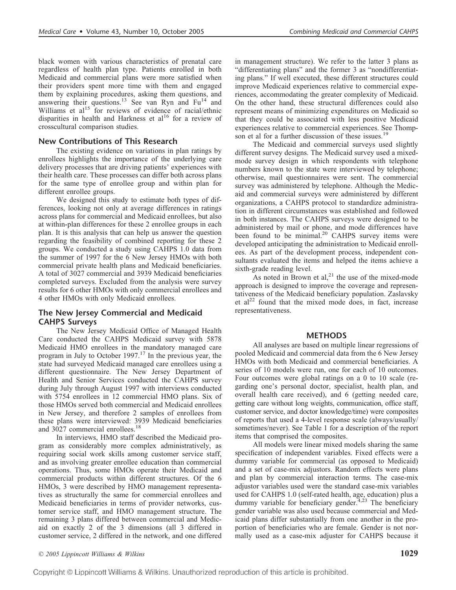black women with various characteristics of prenatal care regardless of health plan type. Patients enrolled in both Medicaid and commercial plans were more satisfied when their providers spent more time with them and engaged them by explaining procedures, asking them questions, and answering their questions.<sup>13</sup> See van Ryn and  $Fu^{14}$  and Williams et  $al<sup>15</sup>$  for reviews of evidence of racial/ethnic disparities in health and Harkness et  $al<sup>16</sup>$  for a review of crosscultural comparison studies.

#### **New Contributions of This Research**

The existing evidence on variations in plan ratings by enrollees highlights the importance of the underlying care delivery processes that are driving patients' experiences with their health care. These processes can differ both across plans for the same type of enrollee group and within plan for different enrollee groups.

We designed this study to estimate both types of differences, looking not only at average differences in ratings across plans for commercial and Medicaid enrollees, but also at within-plan differences for these 2 enrollee groups in each plan. It is this analysis that can help us answer the question regarding the feasibility of combined reporting for these 2 groups. We conducted a study using CAHPS 1.0 data from the summer of 1997 for the 6 New Jersey HMOs with both commercial private health plans and Medicaid beneficiaries. A total of 3027 commercial and 3939 Medicaid beneficiaries completed surveys. Excluded from the analysis were survey results for 6 other HMOs with only commercial enrollees and 4 other HMOs with only Medicaid enrollees.

#### **The New Jersey Commercial and Medicaid CAHPS Surveys**

The New Jersey Medicaid Office of Managed Health Care conducted the CAHPS Medicaid survey with 5878 Medicaid HMO enrollees in the mandatory managed care program in July to October  $1997<sup>17</sup>$  In the previous year, the state had surveyed Medicaid managed care enrollees using a different questionnaire. The New Jersey Department of Health and Senior Services conducted the CAHPS survey during July through August 1997 with interviews conducted with 5754 enrollees in 12 commercial HMO plans. Six of those HMOs served both commercial and Medicaid enrollees in New Jersey, and therefore 2 samples of enrollees from these plans were interviewed: 3939 Medicaid beneficiaries and 3027 commercial enrollees.<sup>18</sup>

In interviews, HMO staff described the Medicaid program as considerably more complex administratively, as requiring social work skills among customer service staff, and as involving greater enrollee education than commercial operations. Thus, some HMOs operate their Medicaid and commercial products within different structures. Of the 6 HMOs, 3 were described by HMO management representatives as structurally the same for commercial enrollees and Medicaid beneficiaries in terms of provider networks, customer service staff, and HMO management structure. The remaining 3 plans differed between commercial and Medicaid on exactly 2 of the 3 dimensions (all 3 differed in customer service, 2 differed in the network, and one differed

in management structure). We refer to the latter 3 plans as "differentiating plans" and the former 3 as "nondifferentiating plans." If well executed, these different structures could improve Medicaid experiences relative to commercial experiences, accommodating the greater complexity of Medicaid. On the other hand, these structural differences could also represent means of minimizing expenditures on Medicaid so that they could be associated with less positive Medicaid experiences relative to commercial experiences. See Thompson et al for a further discussion of these issues.<sup>19</sup>

The Medicaid and commercial surveys used slightly different survey designs. The Medicaid survey used a mixedmode survey design in which respondents with telephone numbers known to the state were interviewed by telephone; otherwise, mail questionnaires were sent. The commercial survey was administered by telephone. Although the Medicaid and commercial surveys were administered by different organizations, a CAHPS protocol to standardize administration in different circumstances was established and followed in both instances. The CAHPS surveys were designed to be administered by mail or phone, and mode differences have been found to be minimal.<sup>20</sup> CAHPS survey items were developed anticipating the administration to Medicaid enrollees. As part of the development process, independent consultants evaluated the items and helped the items achieve a sixth-grade reading level.

As noted in Brown et al,<sup>21</sup> the use of the mixed-mode approach is designed to improve the coverage and representativeness of the Medicaid beneficiary population. Zaslavsky et  $al<sup>22</sup>$  found that the mixed mode does, in fact, increase representativeness.

#### **METHODS**

All analyses are based on multiple linear regressions of pooled Medicaid and commercial data from the 6 New Jersey HMOs with both Medicaid and commercial beneficiaries. A series of 10 models were run, one for each of 10 outcomes. Four outcomes were global ratings on a 0 to 10 scale (regarding one's personal doctor, specialist, health plan, and overall health care received), and 6 (getting needed care, getting care without long weights, communication, office staff, customer service, and doctor knowledge/time) were composites of reports that used a 4-level response scale (always/usually/ sometimes/never). See Table 1 for a description of the report items that comprised the composites.

All models were linear mixed models sharing the same specification of independent variables. Fixed effects were a dummy variable for commercial (as opposed to Medicaid) and a set of case-mix adjustors. Random effects were plans and plan by commercial interaction terms. The case-mix adjustor variables used were the standard case-mix variables used for CAHPS 1.0 (self-rated health, age, education) plus a dummy variable for beneficiary gender.<sup>4,23</sup> The beneficiary gender variable was also used because commercial and Medicaid plans differ substantially from one another in the proportion of beneficiaries who are female. Gender is not normally used as a case-mix adjuster for CAHPS because it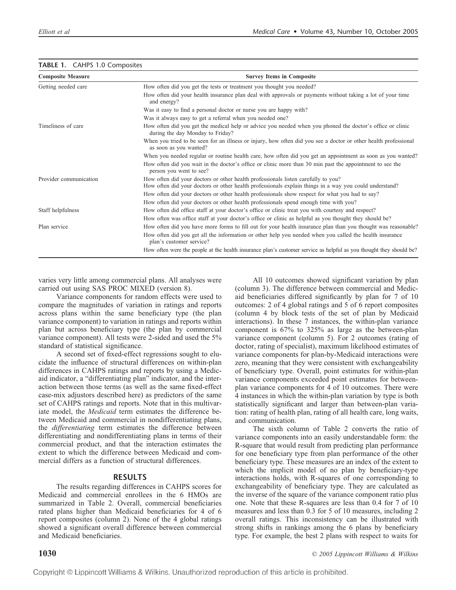| <b>Composite Measure</b> | <b>Survey Items in Composite</b>                                                                                                                                                            |  |  |  |  |
|--------------------------|---------------------------------------------------------------------------------------------------------------------------------------------------------------------------------------------|--|--|--|--|
| Getting needed care      | How often did you get the tests or treatment you thought you needed?                                                                                                                        |  |  |  |  |
|                          | How often did your health insurance plan deal with approvals or payments without taking a lot of your time<br>and energy?                                                                   |  |  |  |  |
|                          | Was it easy to find a personal doctor or nurse you are happy with?                                                                                                                          |  |  |  |  |
|                          | Was it always easy to get a referral when you needed one?                                                                                                                                   |  |  |  |  |
| Timeliness of care       | How often did you get the medical help or advice you needed when you phoned the doctor's office or clinic<br>during the day Monday to Friday?                                               |  |  |  |  |
|                          | When you tried to be seen for an illness or injury, how often did you see a doctor or other health professional<br>as soon as you wanted?                                                   |  |  |  |  |
|                          | When you needed regular or routine health care, how often did you get an appointment as soon as you wanted?                                                                                 |  |  |  |  |
|                          | How often did you wait in the doctor's office or clinic more than 30 min past the appointment to see the<br>person you went to see?                                                         |  |  |  |  |
| Provider communication   | How often did your doctors or other health professionals listen carefully to you?<br>How often did your doctors or other health professionals explain things in a way you could understand? |  |  |  |  |
|                          | How often did your doctors or other health professionals show respect for what you had to say?                                                                                              |  |  |  |  |
|                          | How often did your doctors or other health professionals spend enough time with you?                                                                                                        |  |  |  |  |
| Staff helpfulness        | How often did office staff at your doctor's office or clinic treat you with courtesy and respect?                                                                                           |  |  |  |  |
|                          | How often was office staff at your doctor's office or clinic as helpful as you thought they should be?                                                                                      |  |  |  |  |
| Plan service             | How often did you have more forms to fill out for your health insurance plan than you thought was reasonable?                                                                               |  |  |  |  |
|                          | How often did you get all the information or other help you needed when you called the health insurance<br>plan's customer service?                                                         |  |  |  |  |
|                          | How often were the people at the health insurance plan's customer service as helpful as you thought they should be?                                                                         |  |  |  |  |

#### **TABLE 1.** CAHPS 1.0 Composites

varies very little among commercial plans. All analyses were carried out using SAS PROC MIXED (version 8).

Variance components for random effects were used to compare the magnitudes of variation in ratings and reports across plans within the same beneficiary type (the plan variance component) to variation in ratings and reports within plan but across beneficiary type (the plan by commercial variance component). All tests were 2-sided and used the 5% standard of statistical significance.

A second set of fixed-effect regressions sought to elucidate the influence of structural differences on within-plan differences in CAHPS ratings and reports by using a Medicaid indicator, a "differentiating plan" indicator, and the interaction between those terms (as well as the same fixed-effect case-mix adjustors described here) as predictors of the same set of CAHPS ratings and reports. Note that in this multivariate model, the *Medicaid* term estimates the difference between Medicaid and commercial in nondifferentiating plans, the *differentiating* term estimates the difference between differentiating and nondifferentiating plans in terms of their commercial product, and that the interaction estimates the extent to which the difference between Medicaid and commercial differs as a function of structural differences.

#### **RESULTS**

The results regarding differences in CAHPS scores for Medicaid and commercial enrollees in the 6 HMOs are summarized in Table 2. Overall, commercial beneficiaries rated plans higher than Medicaid beneficiaries for 4 of 6 report composites (column 2). None of the 4 global ratings showed a significant overall difference between commercial and Medicaid beneficiaries.

All 10 outcomes showed significant variation by plan (column 3). The difference between commercial and Medicaid beneficiaries differed significantly by plan for 7 of 10 outcomes: 2 of 4 global ratings and 5 of 6 report composites (column 4 by block tests of the set of plan by Medicaid interactions). In these 7 instances, the within-plan variance component is 67% to 325% as large as the between-plan variance component (column 5). For 2 outcomes (rating of doctor, rating of specialist), maximum likelihood estimates of variance components for plan-by-Medicaid interactions were zero, meaning that they were consistent with exchangeability of beneficiary type. Overall, point estimates for within-plan variance components exceeded point estimates for betweenplan variance components for 4 of 10 outcomes. There were 4 instances in which the within-plan variation by type is both statistically significant and larger than between-plan variation: rating of health plan, rating of all health care, long waits, and communication.

The sixth column of Table 2 converts the ratio of variance components into an easily understandable form: the R-square that would result from predicting plan performance for one beneficiary type from plan performance of the other beneficiary type. These measures are an index of the extent to which the implicit model of no plan by beneficiary-type interactions holds, with R-squares of one corresponding to exchangeability of beneficiary type. They are calculated as the inverse of the square of the variance component ratio plus one. Note that these R-squares are less than 0.4 for 7 of 10 measures and less than 0.3 for 5 of 10 measures, including 2 overall ratings. This inconsistency can be illustrated with strong shifts in rankings among the 6 plans by beneficiary type. For example, the best 2 plans with respect to waits for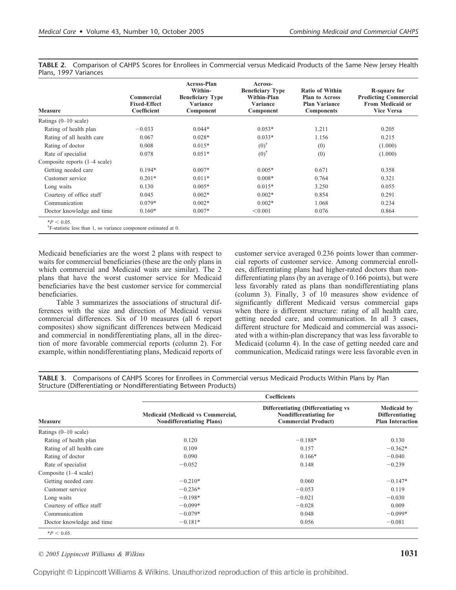| Measure                                 | Commercial<br><b>Fixed-Effect</b><br>Coefficient | Across-Plan<br>Within-<br><b>Beneficiary Type</b><br>Variance<br>Component | Across-<br><b>Beneficiary Type</b><br>Within-Plan<br>Variance<br>Component | <b>Ratio of Within</b><br><b>Plan to Across</b><br><b>Plan Variance</b><br><b>Components</b> | R-square for<br><b>Predicting Commercial</b><br>From Medicaid or<br><b>Vice Versa</b> |
|-----------------------------------------|--------------------------------------------------|----------------------------------------------------------------------------|----------------------------------------------------------------------------|----------------------------------------------------------------------------------------------|---------------------------------------------------------------------------------------|
| Ratings $(0-10 \text{ scale})$          |                                                  |                                                                            |                                                                            |                                                                                              |                                                                                       |
| Rating of health plan                   | $-0.033$                                         | $0.044*$                                                                   | $0.053*$                                                                   | 1.211                                                                                        | 0.205                                                                                 |
| Rating of all health care               | 0.067                                            | $0.028*$                                                                   | $0.033*$                                                                   | 1.156                                                                                        | 0.215                                                                                 |
| Rating of doctor                        | 0.008                                            | $0.015*$                                                                   | $(0)^{\dagger}$                                                            | (0)                                                                                          | (1.000)                                                                               |
| Rate of specialist                      | 0.078                                            | $0.051*$                                                                   | $(0)^{\dagger}$                                                            | (0)                                                                                          | (1.000)                                                                               |
| Composite reports $(1-4 \text{ scale})$ |                                                  |                                                                            |                                                                            |                                                                                              |                                                                                       |
| Getting needed care                     | $0.194*$                                         | $0.007*$                                                                   | $0.005*$                                                                   | 0.671                                                                                        | 0.358                                                                                 |
| Customer service                        | $0.201*$                                         | $0.011*$                                                                   | $0.008*$                                                                   | 0.764                                                                                        | 0.321                                                                                 |
| Long waits                              | 0.130                                            | $0.005*$                                                                   | $0.015*$                                                                   | 3.250                                                                                        | 0.055                                                                                 |
| Courtesy of office staff                | 0.045                                            | $0.002*$                                                                   | $0.002*$                                                                   | 0.854                                                                                        | 0.291                                                                                 |
| Communication                           | $0.079*$                                         | $0.002*$                                                                   | $0.002*$                                                                   | 1.068                                                                                        | 0.234                                                                                 |
| Doctor knowledge and time               | $0.160*$                                         | $0.007*$                                                                   | < 0.001                                                                    | 0.076                                                                                        | 0.864                                                                                 |
| $*P < 0.05$ .                           |                                                  |                                                                            |                                                                            |                                                                                              |                                                                                       |

**TABLE 2.** Comparison of CAHPS Scores for Enrollees in Commercial versus Medicaid Products of the Same New Jersey Health Plans, 1997 Variances

 $*P < 0.05$ .<br><sup>†</sup>F-statistic less than 1, so variance component estimated at 0.

Medicaid beneficiaries are the worst 2 plans with respect to waits for commercial beneficiaries (these are the only plans in which commercial and Medicaid waits are similar). The 2 plans that have the worst customer service for Medicaid beneficiaries have the best customer service for commercial beneficiaries.

Table 3 summarizes the associations of structural differences with the size and direction of Medicaid versus commercial differences. Six of 10 measures (all 6 report composites) show significant differences between Medicaid and commercial in nondifferentiating plans, all in the direction of more favorable commercial reports (column 2). For example, within nondifferentiating plans, Medicaid reports of customer service averaged 0.236 points lower than commercial reports of customer service. Among commercial enrollees, differentiating plans had higher-rated doctors than nondifferentiating plans (by an average of 0.166 points), but were less favorably rated as plans than nondifferentiating plans (column 3). Finally, 3 of 10 measures show evidence of significantly different Medicaid versus commercial gaps when there is different structure: rating of all health care, getting needed care, and communication. In all 3 cases, different structure for Medicaid and commercial was associated with a within-plan discrepancy that was less favorable to Medicaid (column 4). In the case of getting needed care and communication, Medicaid ratings were less favorable even in

**TABLE 3.** Comparisons of CAHPS Scores for Enrollees in Commercial versus Medicaid Products Within Plans by Plan Structure (Differentiating or Nondifferentiating Between Products)

|                                 | <b>Coefficients</b>                                                   |                                                                                             |                                                                  |  |  |
|---------------------------------|-----------------------------------------------------------------------|---------------------------------------------------------------------------------------------|------------------------------------------------------------------|--|--|
| Measure                         | Medicaid (Medicaid vs Commercial,<br><b>Nondifferentiating Plans)</b> | Differentiating (Differentiating vs<br>Nondifferentiating for<br><b>Commercial Product)</b> | Medicaid by<br><b>Differentiating</b><br><b>Plan Interaction</b> |  |  |
| Ratings $(0-10 \text{ scale})$  |                                                                       |                                                                                             |                                                                  |  |  |
| Rating of health plan           | 0.120                                                                 | $-0.188*$                                                                                   | 0.130                                                            |  |  |
| Rating of all health care       | 0.109                                                                 | 0.157                                                                                       | $-0.362*$                                                        |  |  |
| Rating of doctor                | 0.090                                                                 | $0.166*$                                                                                    | $-0.040$                                                         |  |  |
| Rate of specialist              | $-0.052$                                                              | 0.148                                                                                       | $-0.239$                                                         |  |  |
| Composite $(1-4 \text{ scale})$ |                                                                       |                                                                                             |                                                                  |  |  |
| Getting needed care             | $-0.210*$                                                             | 0.060                                                                                       | $-0.147*$                                                        |  |  |
| Customer service                | $-0.236*$                                                             | $-0.053$                                                                                    | 0.119                                                            |  |  |
| Long waits                      | $-0.198*$                                                             | $-0.021$                                                                                    | $-0.030$                                                         |  |  |
| Courtesy of office staff        | $-0.099*$                                                             | $-0.028$                                                                                    | 0.009                                                            |  |  |
| Communication                   | $-0.079*$                                                             | 0.048                                                                                       | $-0.099*$                                                        |  |  |
| Doctor knowledge and time       | $-0.181*$                                                             | 0.056                                                                                       | $-0.081$                                                         |  |  |
| $*P < 0.05$ .                   |                                                                       |                                                                                             |                                                                  |  |  |

*© 2005 Lippincott Williams & Wilkins* **1031**

Copyright © Lippincott Williams & Wilkins. Unauthorized reproduction of this article is prohibited.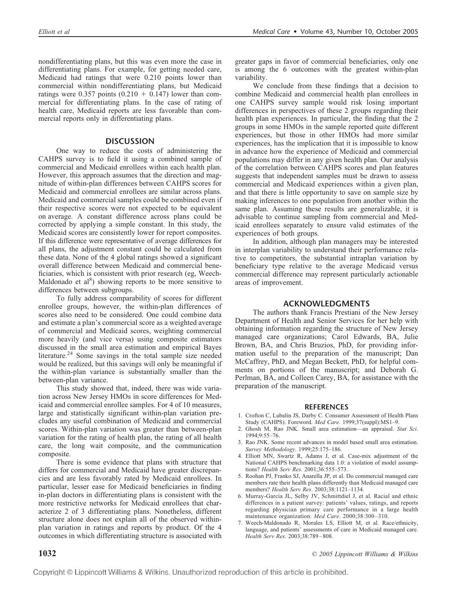nondifferentiating plans, but this was even more the case in differentiating plans. For example, for getting needed care, Medicaid had ratings that were 0.210 points lower than commercial within nondifferentiating plans, but Medicaid ratings were 0.357 points  $(0.210 + 0.147)$  lower than commercial for differentiating plans. In the case of rating of health care, Medicaid reports are less favorable than commercial reports only in differentiating plans.

#### **DISCUSSION**

One way to reduce the costs of administering the CAHPS survey is to field it using a combined sample of commercial and Medicaid enrollees within each health plan. However, this approach assumes that the direction and magnitude of within-plan differences between CAHPS scores for Medicaid and commercial enrollees are similar across plans. Medicaid and commercial samples could be combined even if their respective scores were not expected to be equivalent on average. A constant difference across plans could be corrected by applying a simple constant. In this study, the Medicaid scores are consistently lower for report composites. If this difference were representative of average differences for all plans, the adjustment constant could be calculated from these data. None of the 4 global ratings showed a significant overall difference between Medicaid and commercial beneficiaries, which is consistent with prior research (eg, Weech-Maldonado et  $al^8$ ) showing reports to be more sensitive to differences between subgroups.

To fully address comparability of scores for different enrollee groups, however, the within-plan differences of scores also need to be considered. One could combine data and estimate a plan's commercial score as a weighted average of commercial and Medicaid scores, weighting commercial more heavily (and vice versa) using composite estimators discussed in the small area estimation and empirical Bayes literature.<sup>24</sup> Some savings in the total sample size needed would be realized, but this savings will only be meaningful if the within-plan variance is substantially smaller than the between-plan variance.

This study showed that, indeed, there was wide variation across New Jersey HMOs in score differences for Medicaid and commercial enrollee samples. For 4 of 10 measures, large and statistically significant within-plan variation precludes any useful combination of Medicaid and commercial scores. Within-plan variation was greater than between-plan variation for the rating of health plan, the rating of all health care, the long wait composite, and the communication composite.

There is some evidence that plans with structure that differs for commercial and Medicaid have greater discrepancies and are less favorably rated by Medicaid enrollees. In particular, lesser ease for Medicaid beneficiaries in finding in-plan doctors in differentiating plans is consistent with the more restrictive networks for Medicaid enrollees that characterize 2 of 3 differentiating plans. Nonetheless, different structure alone does not explain all of the observed withinplan variation in ratings and reports by product. Of the 4 outcomes in which differentiating structure is associated with

greater gaps in favor of commercial beneficiaries, only one is among the 6 outcomes with the greatest within-plan variability.

We conclude from these findings that a decision to combine Medicaid and commercial health plan enrollees in one CAHPS survey sample would risk losing important differences in perspectives of these 2 groups regarding their health plan experiences. In particular, the finding that the 2 groups in some HMOs in the sample reported quite different experiences, but those in other HMOs had more similar experiences, has the implication that it is impossible to know in advance how the experience of Medicaid and commercial populations may differ in any given health plan. Our analysis of the correlation between CAHPS scores and plan features suggests that independent samples must be drawn to assess commercial and Medicaid experiences within a given plan, and that there is little opportunity to save on sample size by making inferences to one population from another within the same plan. Assuming these results are generalizable, it is advisable to continue sampling from commercial and Medicaid enrollees separately to ensure valid estimates of the experiences of both groups.

In addition, although plan managers may be interested in interplan variability to understand their performance relative to competitors, the substantial intraplan variation by beneficiary type relative to the average Medicaid versus commercial difference may represent particularly actionable areas of improvement.

#### **ACKNOWLEDGMENTS**

The authors thank Francis Prestiani of the New Jersey Department of Health and Senior Services for her help with obtaining information regarding the structure of New Jersey managed care organizations; Carol Edwards, BA, Julie Brown, BA, and Chris Bruzios, PhD, for providing information useful to the preparation of the manuscript; Dan McCaffrey, PhD, and Megan Beckett, PhD, for helpful comments on portions of the manuscript; and Deborah G. Perlman, BA, and Colleen Carey, BA, for assistance with the preparation of the manuscript.

#### **REFERENCES**

- 1. Crofton C, Lubalin JS, Darby C. Consumer Assessment of Health Plans Study (CAHPS). Foreword. *Med Care.* 1999;37(suppl):MS1–9.
- 2. Ghosh M, Rao JNK. Small area estimation—an appraisal. *Stat Sci*. 1994;9:55–76.
- 3. Rao JNK. Some recent advances in model based small area estimation. *Survey Methodology*. 1999;25:175–186.
- 4. Elliott MN, Swartz R, Adams J, et al. Case-mix adjustment of the National CAHPS benchmarking data 1.0: a violation of model assumptions? *Health Serv Res*. 2001;36:555–573.
- 5. Roohan PJ, Franko SJ, Anarella JP, et al. Do commercial managed care members rate their health plans differently than Medicaid managed care members? *Health Serv Res*. 2003;38:1121–1134.
- 6. Murray-Garcia JL, Selby JV, Schmittdiel J, et al. Racial and ethnic differences in a patient survey: patients' values, ratings, and reports regarding physician primary care performance in a large health maintenance organization. *Med Care*. 2000;38:300 –310.
- 7. Weech-Maldonado R, Morales LS, Elliott M, et al. Race/ethnicity, language, and patients' assessments of care in Medicaid managed care. *Health Serv Res*. 2003;38:789 – 808.

**1032** *© 2005 Lippincott Williams & Wilkins*